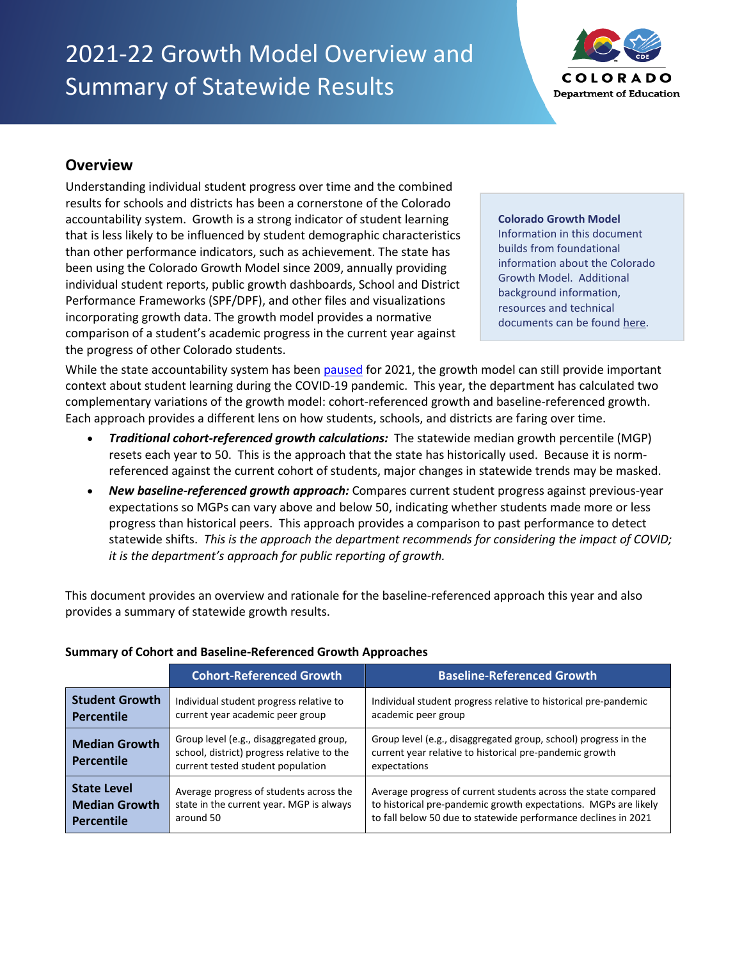# 2021-22 Growth Model Overview and Summary of Statewide Results



# **Overview**

Understanding individual student progress over time and the combined results for schools and districts has been a cornerstone of the Colorado accountability system. Growth is a strong indicator of student learning that is less likely to be influenced by student demographic characteristics than other performance indicators, such as achievement. The state has been using the Colorado Growth Model since 2009, annually providing individual student reports, public growth dashboards, School and District Performance Frameworks (SPF/DPF), and other files and visualizations incorporating growth data. The growth model provides a normative comparison of a student's academic progress in the current year against the progress of other Colorado students.

#### **Colorado Growth Model**

Information in this document builds from foundational information about the Colorado Growth Model. Additional background information, resources and technical documents can be foun[d here.](https://www.cde.state.co.us/accountability/coloradogrowth)

While the state accountability system has been [paused](http://www.cde.state.co.us/accountability/accountabilitypause) for 2021, the growth model can still provide important context about student learning during the COVID-19 pandemic. This year, the department has calculated two complementary variations of the growth model: cohort-referenced growth and baseline-referenced growth. Each approach provides a different lens on how students, schools, and districts are faring over time.

- *Traditional cohort-referenced growth calculations:* The statewide median growth percentile (MGP) resets each year to 50. This is the approach that the state has historically used. Because it is normreferenced against the current cohort of students, major changes in statewide trends may be masked.
- *New baseline-referenced growth approach:* Compares current student progress against previous-year expectations so MGPs can vary above and below 50, indicating whether students made more or less progress than historical peers. This approach provides a comparison to past performance to detect statewide shifts. *This is the approach the department recommends for considering the impact of COVID; it is the department's approach for public reporting of growth.*

This document provides an overview and rationale for the baseline-referenced approach this year and also provides a summary of statewide growth results.

|                                    | <b>Cohort-Referenced Growth</b>                                                                                            | <b>Baseline-Referenced Growth</b>                                                                                                          |
|------------------------------------|----------------------------------------------------------------------------------------------------------------------------|--------------------------------------------------------------------------------------------------------------------------------------------|
| <b>Student Growth</b>              | Individual student progress relative to                                                                                    | Individual student progress relative to historical pre-pandemic                                                                            |
| <b>Percentile</b>                  | current year academic peer group                                                                                           | academic peer group                                                                                                                        |
| <b>Median Growth</b><br>Percentile | Group level (e.g., disaggregated group,<br>school, district) progress relative to the<br>current tested student population | Group level (e.g., disaggregated group, school) progress in the<br>current year relative to historical pre-pandemic growth<br>expectations |
| <b>State Level</b>                 | Average progress of students across the                                                                                    | Average progress of current students across the state compared                                                                             |
| <b>Median Growth</b>               | state in the current year. MGP is always                                                                                   | to historical pre-pandemic growth expectations. MGPs are likely                                                                            |
| <b>Percentile</b>                  | around 50                                                                                                                  | to fall below 50 due to statewide performance declines in 2021                                                                             |

#### **Summary of Cohort and Baseline-Referenced Growth Approaches**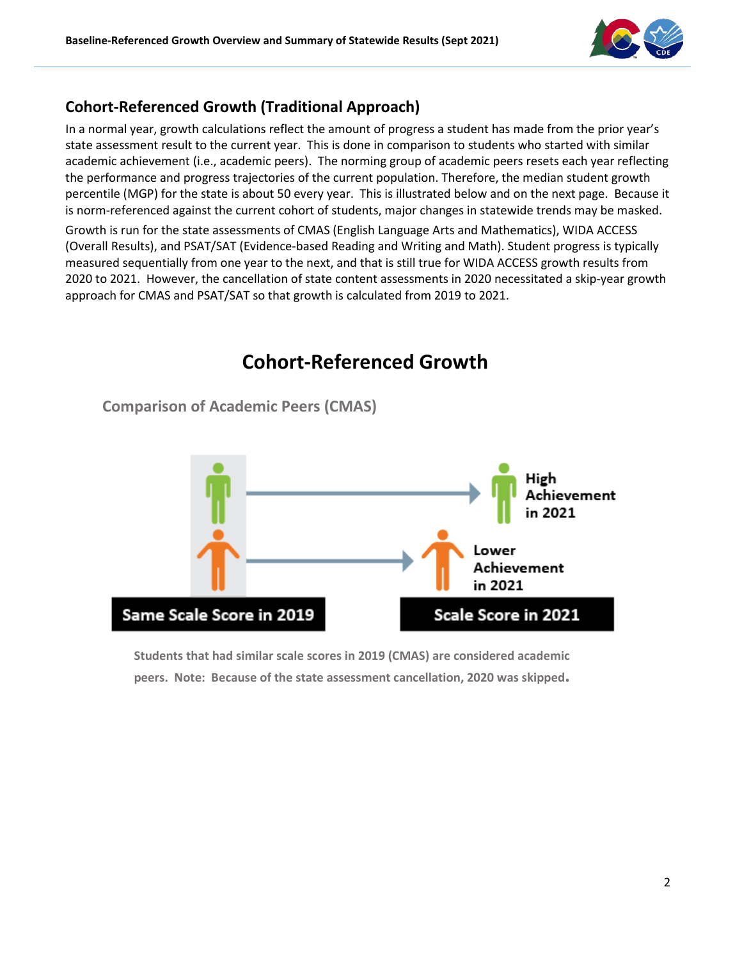

# **Cohort-Referenced Growth (Traditional Approach)**

In a normal year, growth calculations reflect the amount of progress a student has made from the prior year's state assessment result to the current year. This is done in comparison to students who started with similar academic achievement (i.e., academic peers). The norming group of academic peers resets each year reflecting the performance and progress trajectories of the current population. Therefore, the median student growth percentile (MGP) for the state is about 50 every year. This is illustrated below and on the next page. Because it is norm-referenced against the current cohort of students, major changes in statewide trends may be masked.

Growth is run for the state assessments of CMAS (English Language Arts and Mathematics), WIDA ACCESS (Overall Results), and PSAT/SAT (Evidence-based Reading and Writing and Math). Student progress is typically measured sequentially from one year to the next, and that is still true for WIDA ACCESS growth results from 2020 to 2021. However, the cancellation of state content assessments in 2020 necessitated a skip-year growth approach for CMAS and PSAT/SAT so that growth is calculated from 2019 to 2021.



**Comparison of Academic Peers (CMAS)**



**Students that had similar scale scores in 2019 (CMAS) are considered academic peers. Note: Because of the state assessment cancellation, 2020 was skipped.**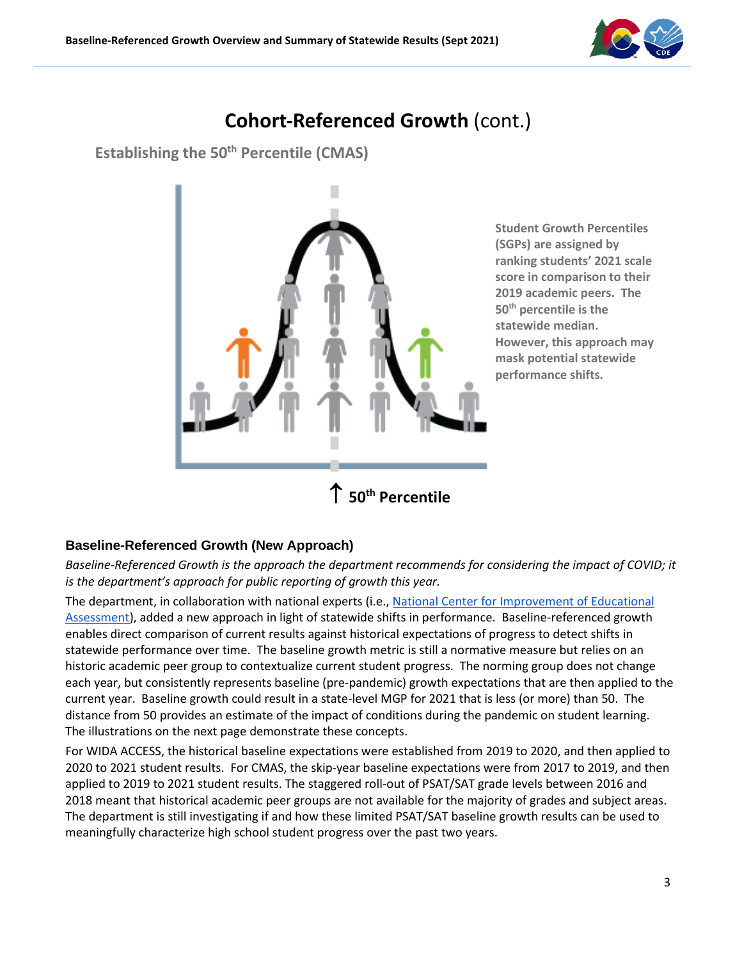

# **Cohort-Referenced Growth** (cont.)

**Establishing the 50<sup>th</sup> Percentile (CMAS)** 



**Student Growth Percentiles (SGPs) are assigned by ranking students' 2021 scale score in comparison to their 2019 academic peers. The 50th percentile is the statewide median. However, this approach may mask potential statewide performance shifts.**

#### **Baseline-Referenced Growth (New Approach)**

*Baseline-Referenced Growth is the approach the department recommends for considering the impact of COVID; it is the department's approach for public reporting of growth this year.*

The department, in collaboration with national experts (i.e., National Center for [Improvement of Educational](https://www.nciea.org/)  [Assessment\)](https://www.nciea.org/), added a new approach in light of statewide shifts in performance. Baseline-referenced growth enables direct comparison of current results against historical expectations of progress to detect shifts in statewide performance over time. The baseline growth metric is still a normative measure but relies on an historic academic peer group to contextualize current student progress. The norming group does not change each year, but consistently represents baseline (pre-pandemic) growth expectations that are then applied to the current year. Baseline growth could result in a state-level MGP for 2021 that is less (or more) than 50. The distance from 50 provides an estimate of the impact of conditions during the pandemic on student learning. The illustrations on the next page demonstrate these concepts.

For WIDA ACCESS, the historical baseline expectations were established from 2019 to 2020, and then applied to 2020 to 2021 student results. For CMAS, the skip-year baseline expectations were from 2017 to 2019, and then applied to 2019 to 2021 student results. The staggered roll-out of PSAT/SAT grade levels between 2016 and 2018 meant that historical academic peer groups are not available for the majority of grades and subject areas. The department is still investigating if and how these limited PSAT/SAT baseline growth results can be used to meaningfully characterize high school student progress over the past two years.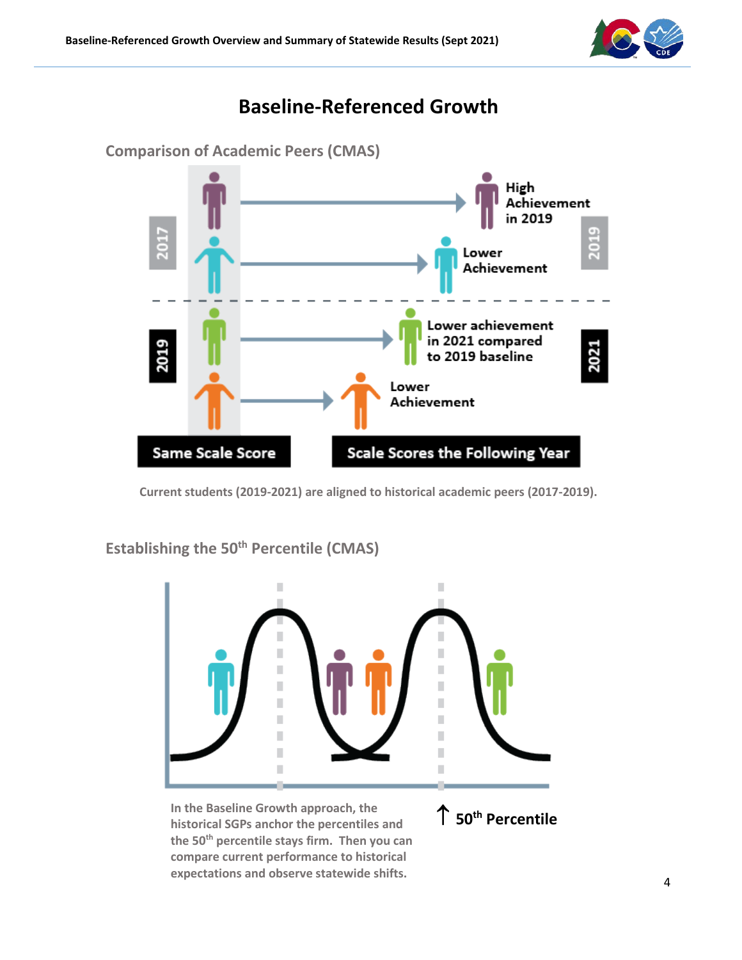

# **Baseline-Referenced Growth**



**Current students (2019-2021) are aligned to historical academic peers (2017-2019).**

**Establishing the 50<sup>th</sup> Percentile (CMAS)** 

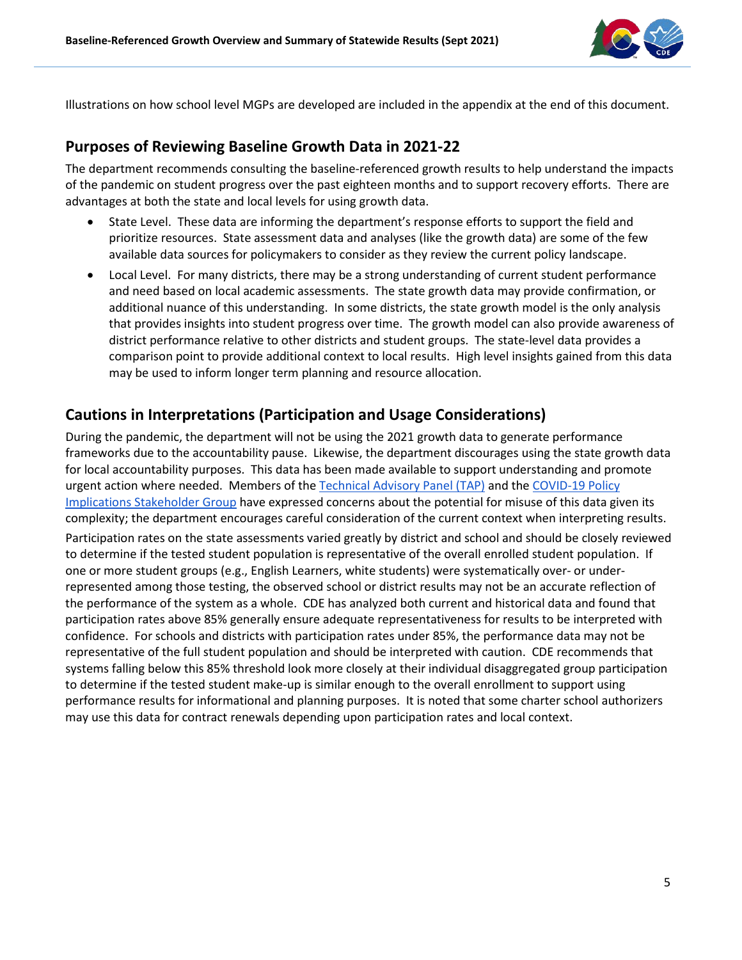

Illustrations on how school level MGPs are developed are included in the appendix at the end of this document.

#### **Purposes of Reviewing Baseline Growth Data in 2021-22**

The department recommends consulting the baseline-referenced growth results to help understand the impacts of the pandemic on student progress over the past eighteen months and to support recovery efforts. There are advantages at both the state and local levels for using growth data.

- State Level. These data are informing the department's response efforts to support the field and prioritize resources. State assessment data and analyses (like the growth data) are some of the few available data sources for policymakers to consider as they review the current policy landscape.
- Local Level. For many districts, there may be a strong understanding of current student performance and need based on local academic assessments. The state growth data may provide confirmation, or additional nuance of this understanding. In some districts, the state growth model is the only analysis that provides insights into student progress over time. The growth model can also provide awareness of district performance relative to other districts and student groups. The state-level data provides a comparison point to provide additional context to local results. High level insights gained from this data may be used to inform longer term planning and resource allocation.

### **Cautions in Interpretations (Participation and Usage Considerations)**

During the pandemic, the department will not be using the 2021 growth data to generate performance frameworks due to the accountability pause. Likewise, the department discourages using the state growth data for local accountability purposes. This data has been made available to support understanding and promote urgent action where needed. Members of th[e Technical Advisory Panel \(TAP\)](https://www.cde.state.co.us/accountability/tap) and th[e COVID-19 Policy](https://www.cde.state.co.us/safeschools/covid-stakeholder-group)  [Implications Stakeholder Group](https://www.cde.state.co.us/safeschools/covid-stakeholder-group) have expressed concerns about the potential for misuse of this data given its complexity; the department encourages careful consideration of the current context when interpreting results.

Participation rates on the state assessments varied greatly by district and school and should be closely reviewed to determine if the tested student population is representative of the overall enrolled student population. If one or more student groups (e.g., English Learners, white students) were systematically over- or underrepresented among those testing, the observed school or district results may not be an accurate reflection of the performance of the system as a whole. CDE has analyzed both current and historical data and found that participation rates above 85% generally ensure adequate representativeness for results to be interpreted with confidence. For schools and districts with participation rates under 85%, the performance data may not be representative of the full student population and should be interpreted with caution. CDE recommends that systems falling below this 85% threshold look more closely at their individual disaggregated group participation to determine if the tested student make-up is similar enough to the overall enrollment to support using performance results for informational and planning purposes. It is noted that some charter school authorizers may use this data for contract renewals depending upon participation rates and local context.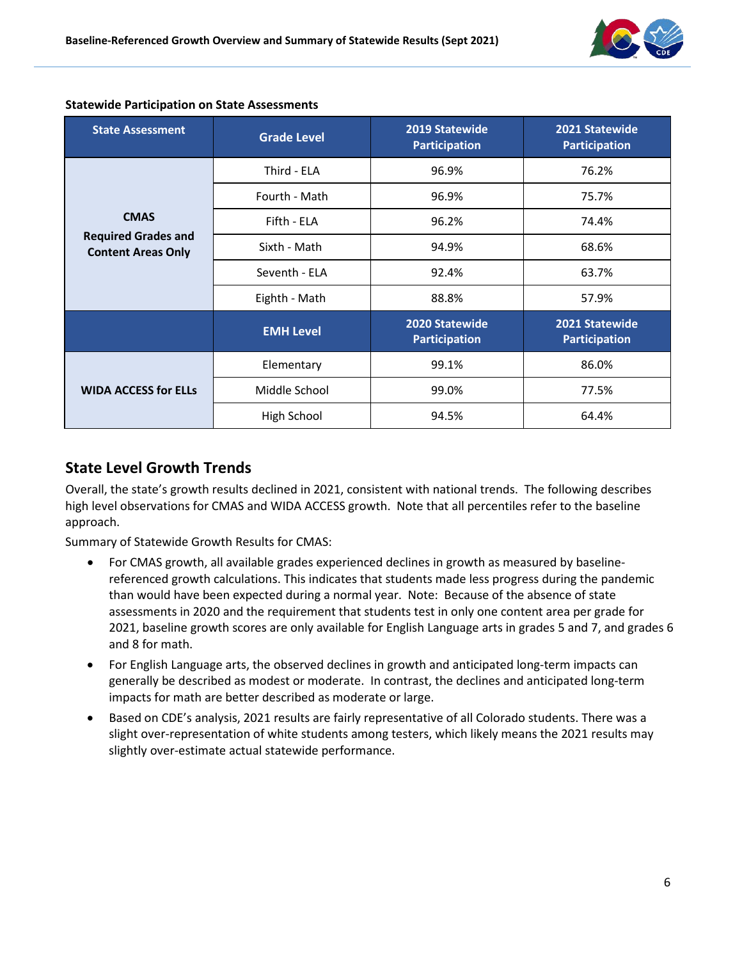

| <b>State Assessment</b>                                 | <b>Grade Level</b> | 2019 Statewide<br><b>Participation</b> | 2021 Statewide<br><b>Participation</b> |
|---------------------------------------------------------|--------------------|----------------------------------------|----------------------------------------|
|                                                         | Third - ELA        | 96.9%                                  | 76.2%                                  |
|                                                         | Fourth - Math      | 96.9%                                  | 75.7%                                  |
| <b>CMAS</b>                                             | Fifth - ELA        | 96.2%                                  | 74.4%                                  |
| <b>Required Grades and</b><br><b>Content Areas Only</b> | Sixth - Math       | 94.9%                                  | 68.6%                                  |
|                                                         | Seventh - ELA      | 92.4%                                  | 63.7%                                  |
|                                                         | Eighth - Math      | 88.8%                                  | 57.9%                                  |
|                                                         | <b>EMH Level</b>   | 2020 Statewide<br><b>Participation</b> | 2021 Statewide<br><b>Participation</b> |
|                                                         | Elementary         | 99.1%                                  | 86.0%                                  |
| <b>WIDA ACCESS for ELLS</b>                             | Middle School      | 99.0%                                  | 77.5%                                  |
|                                                         | High School        | 94.5%                                  | 64.4%                                  |

#### **Statewide Participation on State Assessments**

### **State Level Growth Trends**

Overall, the state's growth results declined in 2021, consistent with national trends. The following describes high level observations for CMAS and WIDA ACCESS growth. Note that all percentiles refer to the baseline approach.

Summary of Statewide Growth Results for CMAS:

- For CMAS growth, all available grades experienced declines in growth as measured by baselinereferenced growth calculations. This indicates that students made less progress during the pandemic than would have been expected during a normal year. Note: Because of the absence of state assessments in 2020 and the requirement that students test in only one content area per grade for 2021, baseline growth scores are only available for English Language arts in grades 5 and 7, and grades 6 and 8 for math.
- For English Language arts, the observed declines in growth and anticipated long-term impacts can generally be described as modest or moderate. In contrast, the declines and anticipated long-term impacts for math are better described as moderate or large.
- Based on CDE's analysis, 2021 results are fairly representative of all Colorado students. There was a slight over-representation of white students among testers, which likely means the 2021 results may slightly over-estimate actual statewide performance.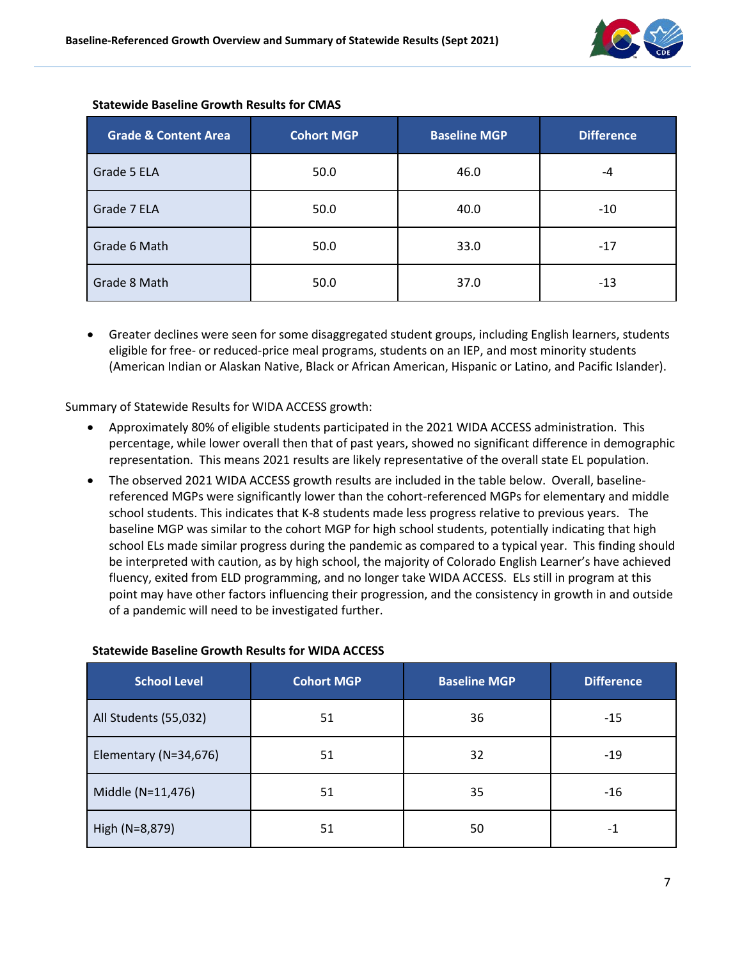

| <b>Grade &amp; Content Area</b> | <b>Cohort MGP</b> | <b>Baseline MGP</b> | <b>Difference</b> |
|---------------------------------|-------------------|---------------------|-------------------|
| Grade 5 ELA                     | 50.0              | 46.0                | -4                |
| Grade 7 ELA                     | 50.0              | 40.0                | $-10$             |
| Grade 6 Math                    | 50.0              | 33.0                | $-17$             |
| Grade 8 Math                    | 50.0              | 37.0                | $-13$             |

#### **Statewide Baseline Growth Results for CMAS**

• Greater declines were seen for some disaggregated student groups, including English learners, students eligible for free- or reduced-price meal programs, students on an IEP, and most minority students (American Indian or Alaskan Native, Black or African American, Hispanic or Latino, and Pacific Islander).

Summary of Statewide Results for WIDA ACCESS growth:

- Approximately 80% of eligible students participated in the 2021 WIDA ACCESS administration. This percentage, while lower overall then that of past years, showed no significant difference in demographic representation. This means 2021 results are likely representative of the overall state EL population.
- The observed 2021 WIDA ACCESS growth results are included in the table below. Overall, baselinereferenced MGPs were significantly lower than the cohort-referenced MGPs for elementary and middle school students. This indicates that K-8 students made less progress relative to previous years. The baseline MGP was similar to the cohort MGP for high school students, potentially indicating that high school ELs made similar progress during the pandemic as compared to a typical year. This finding should be interpreted with caution, as by high school, the majority of Colorado English Learner's have achieved fluency, exited from ELD programming, and no longer take WIDA ACCESS. ELs still in program at this point may have other factors influencing their progression, and the consistency in growth in and outside of a pandemic will need to be investigated further.

| <b>School Level</b>   | <b>Cohort MGP</b> | <b>Baseline MGP</b> | <b>Difference</b> |
|-----------------------|-------------------|---------------------|-------------------|
| All Students (55,032) | 51                | 36                  | $-15$             |
| Elementary (N=34,676) | 51                | 32                  | $-19$             |
| Middle (N=11,476)     | 51                | 35                  | $-16$             |
| High (N=8,879)        | 51                | 50                  | -1                |

#### **Statewide Baseline Growth Results for WIDA ACCESS**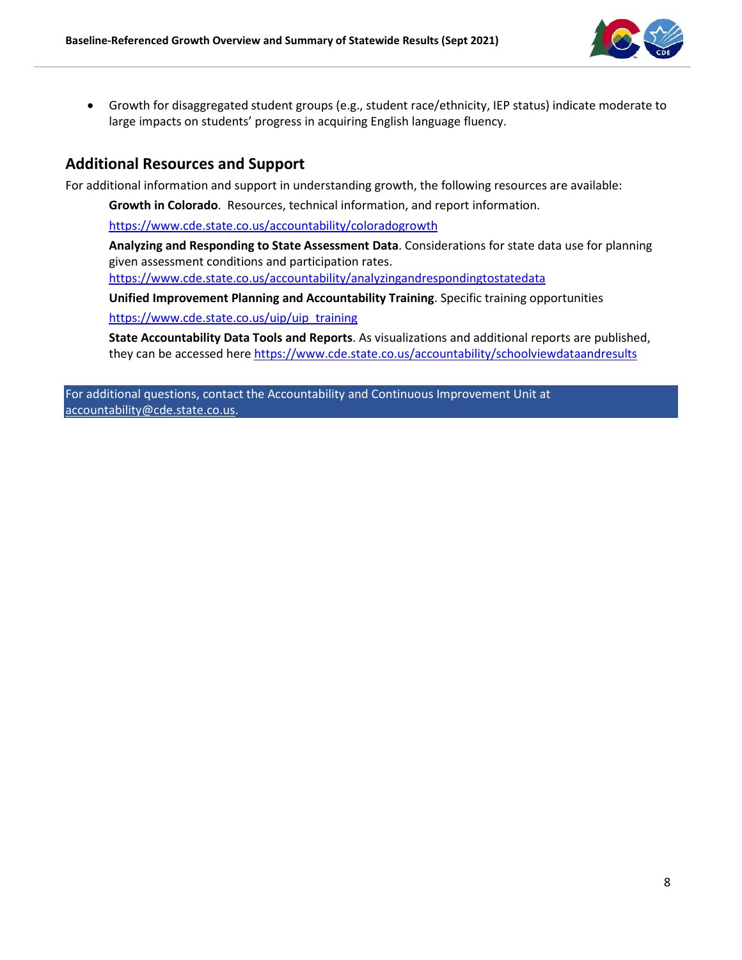

• Growth for disaggregated student groups (e.g., student race/ethnicity, IEP status) indicate moderate to large impacts on students' progress in acquiring English language fluency.

### **Additional Resources and Support**

For additional information and support in understanding growth, the following resources are available:

**Growth in Colorado**. Resources, technical information, and report information.

<https://www.cde.state.co.us/accountability/coloradogrowth>

**Analyzing and Responding to State Assessment Data**. Considerations for state data use for planning given assessment conditions and participation rates.

<https://www.cde.state.co.us/accountability/analyzingandrespondingtostatedata>

**Unified Improvement Planning and Accountability Training**. Specific training opportunities

[https://www.cde.state.co.us/uip/uip\\_training](https://www.cde.state.co.us/uip/uip_training)

**State Accountability Data Tools and Reports**. As visualizations and additional reports are published, they can be accessed here <https://www.cde.state.co.us/accountability/schoolviewdataandresults>

For additional questions, contact the Accountability and Continuous Improvement Unit at [accountability@cde.state.co.us.](mailto:accountability@cde.state.co.us)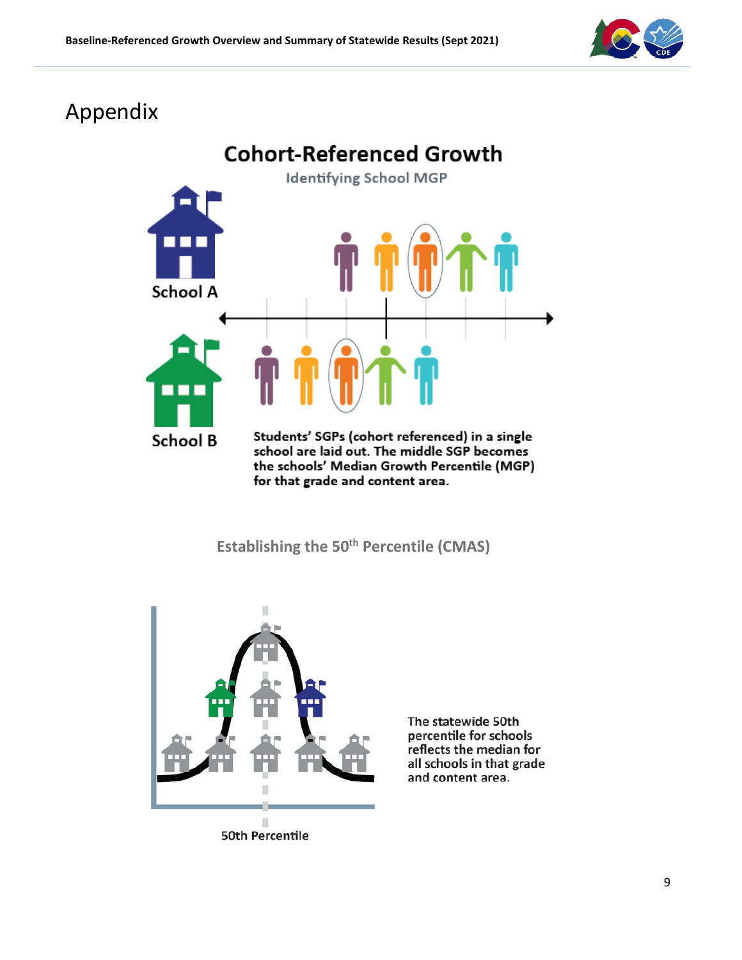

# Appendix



**Establishing the 50<sup>th</sup> Percentile (CMAS)** 



The statewide 50th percentile for schools reflects the median for all schools in that grade and content area.